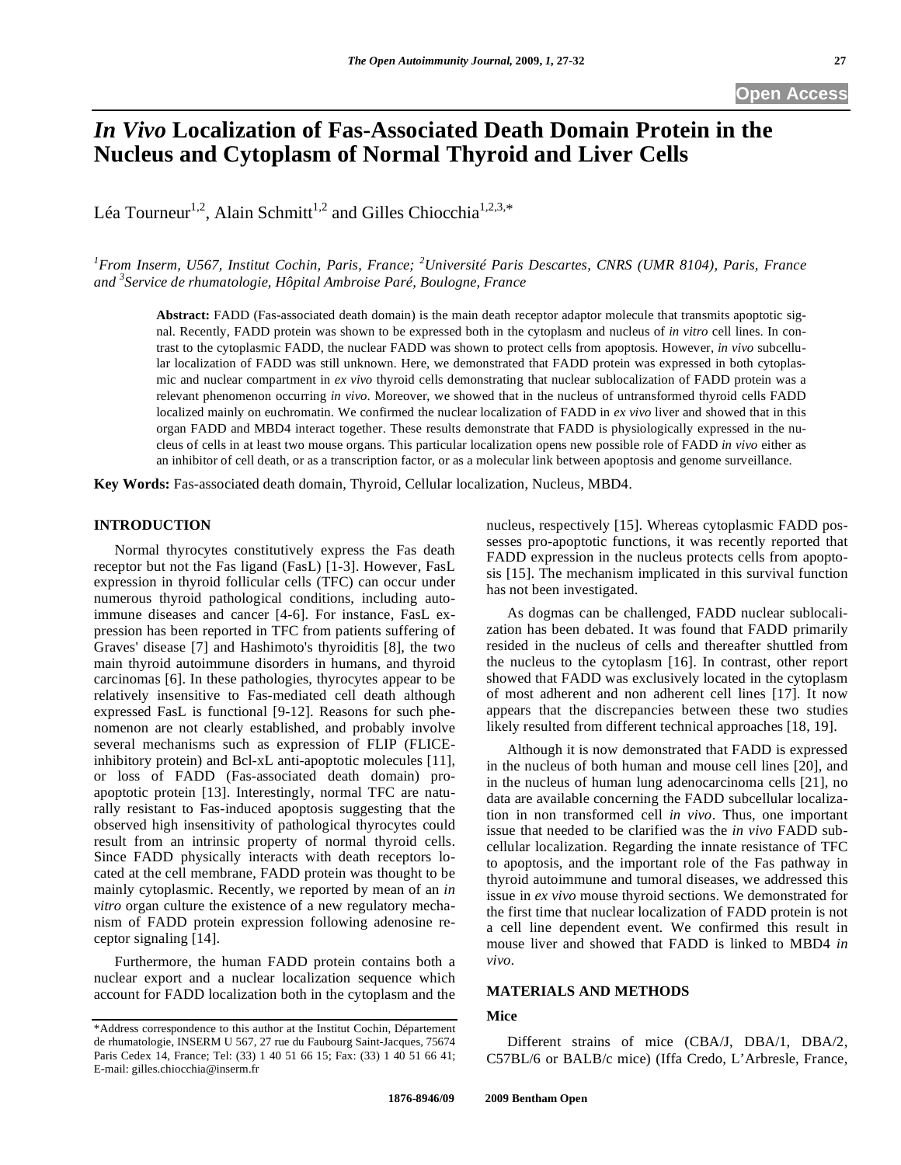## **Open Access**

# *In Vivo* **Localization of Fas-Associated Death Domain Protein in the Nucleus and Cytoplasm of Normal Thyroid and Liver Cells**

Léa Tourneur<sup>1,2</sup>, Alain Schmitt<sup>1,2</sup> and Gilles Chiocchia<sup>1,2,3,\*</sup>

*1 From Inserm, U567, Institut Cochin, Paris, France; <sup>2</sup> Université Paris Descartes, CNRS (UMR 8104), Paris, France and 3 Service de rhumatologie, Hôpital Ambroise Paré, Boulogne, France* 

**Abstract:** FADD (Fas-associated death domain) is the main death receptor adaptor molecule that transmits apoptotic signal. Recently, FADD protein was shown to be expressed both in the cytoplasm and nucleus of *in vitro* cell lines. In contrast to the cytoplasmic FADD, the nuclear FADD was shown to protect cells from apoptosis. However, *in vivo* subcellular localization of FADD was still unknown. Here, we demonstrated that FADD protein was expressed in both cytoplasmic and nuclear compartment in *ex vivo* thyroid cells demonstrating that nuclear sublocalization of FADD protein was a relevant phenomenon occurring *in vivo*. Moreover, we showed that in the nucleus of untransformed thyroid cells FADD localized mainly on euchromatin. We confirmed the nuclear localization of FADD in *ex vivo* liver and showed that in this organ FADD and MBD4 interact together. These results demonstrate that FADD is physiologically expressed in the nucleus of cells in at least two mouse organs. This particular localization opens new possible role of FADD *in vivo* either as an inhibitor of cell death, or as a transcription factor, or as a molecular link between apoptosis and genome surveillance.

**Key Words:** Fas-associated death domain, Thyroid, Cellular localization, Nucleus, MBD4.

### **INTRODUCTION**

 Normal thyrocytes constitutively express the Fas death receptor but not the Fas ligand (FasL) [1-3]. However, FasL expression in thyroid follicular cells (TFC) can occur under numerous thyroid pathological conditions, including autoimmune diseases and cancer [4-6]. For instance, FasL expression has been reported in TFC from patients suffering of Graves' disease [7] and Hashimoto's thyroiditis [8], the two main thyroid autoimmune disorders in humans, and thyroid carcinomas [6]. In these pathologies, thyrocytes appear to be relatively insensitive to Fas-mediated cell death although expressed FasL is functional [9-12]. Reasons for such phenomenon are not clearly established, and probably involve several mechanisms such as expression of FLIP (FLICEinhibitory protein) and Bcl-xL anti-apoptotic molecules [11], or loss of FADD (Fas-associated death domain) proapoptotic protein [13]. Interestingly, normal TFC are naturally resistant to Fas-induced apoptosis suggesting that the observed high insensitivity of pathological thyrocytes could result from an intrinsic property of normal thyroid cells. Since FADD physically interacts with death receptors located at the cell membrane, FADD protein was thought to be mainly cytoplasmic. Recently, we reported by mean of an *in vitro* organ culture the existence of a new regulatory mechanism of FADD protein expression following adenosine receptor signaling [14].

 Furthermore, the human FADD protein contains both a nuclear export and a nuclear localization sequence which account for FADD localization both in the cytoplasm and the nucleus, respectively [15]. Whereas cytoplasmic FADD possesses pro-apoptotic functions, it was recently reported that FADD expression in the nucleus protects cells from apoptosis [15]. The mechanism implicated in this survival function has not been investigated.

 As dogmas can be challenged, FADD nuclear sublocalization has been debated. It was found that FADD primarily resided in the nucleus of cells and thereafter shuttled from the nucleus to the cytoplasm [16]. In contrast, other report showed that FADD was exclusively located in the cytoplasm of most adherent and non adherent cell lines [17]. It now appears that the discrepancies between these two studies likely resulted from different technical approaches [18, 19].

 Although it is now demonstrated that FADD is expressed in the nucleus of both human and mouse cell lines [20], and in the nucleus of human lung adenocarcinoma cells [21], no data are available concerning the FADD subcellular localization in non transformed cell *in vivo*. Thus, one important issue that needed to be clarified was the *in vivo* FADD subcellular localization. Regarding the innate resistance of TFC to apoptosis, and the important role of the Fas pathway in thyroid autoimmune and tumoral diseases, we addressed this issue in *ex vivo* mouse thyroid sections. We demonstrated for the first time that nuclear localization of FADD protein is not a cell line dependent event. We confirmed this result in mouse liver and showed that FADD is linked to MBD4 *in vivo*.

#### **MATERIALS AND METHODS**

#### **Mice**

 Different strains of mice (CBA/J, DBA/1, DBA/2, C57BL/6 or BALB/c mice) (Iffa Credo, L'Arbresle, France,

<sup>\*</sup>Address correspondence to this author at the Institut Cochin, Département de rhumatologie, INSERM U 567, 27 rue du Faubourg Saint-Jacques, 75674 Paris Cedex 14, France; Tel: (33) 1 40 51 66 15; Fax: (33) 1 40 51 66 41; E-mail: gilles.chiocchia@inserm.fr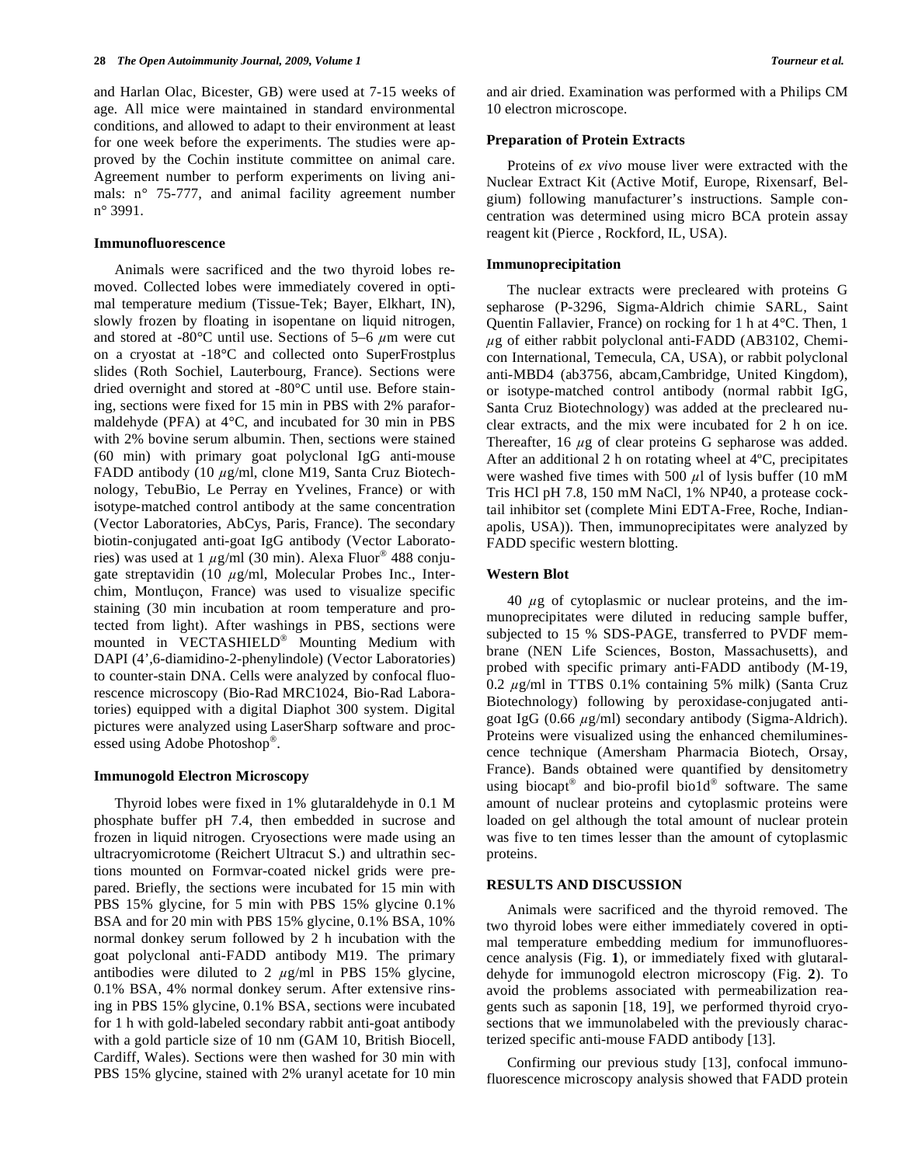and Harlan Olac, Bicester, GB) were used at 7-15 weeks of age. All mice were maintained in standard environmental conditions, and allowed to adapt to their environment at least for one week before the experiments. The studies were approved by the Cochin institute committee on animal care. Agreement number to perform experiments on living animals: n° 75-777, and animal facility agreement number n° 3991.

#### **Immunofluorescence**

 Animals were sacrificed and the two thyroid lobes removed. Collected lobes were immediately covered in optimal temperature medium (Tissue-Tek; Bayer, Elkhart, IN), slowly frozen by floating in isopentane on liquid nitrogen, and stored at -80 $^{\circ}$ C until use. Sections of 5–6  $\mu$ m were cut on a cryostat at -18°C and collected onto SuperFrostplus slides (Roth Sochiel, Lauterbourg, France). Sections were dried overnight and stored at -80°C until use. Before staining, sections were fixed for 15 min in PBS with 2% paraformaldehyde (PFA) at 4°C, and incubated for 30 min in PBS with 2% bovine serum albumin. Then, sections were stained (60 min) with primary goat polyclonal IgG anti-mouse FADD antibody (10  $\mu$ g/ml, clone M19, Santa Cruz Biotechnology, TebuBio, Le Perray en Yvelines, France) or with isotype-matched control antibody at the same concentration (Vector Laboratories, AbCys, Paris, France). The secondary biotin-conjugated anti-goat IgG antibody (Vector Laboratories) was used at 1  $\mu$ g/ml (30 min). Alexa Fluor<sup>®</sup> 488 conjugate streptavidin (10  $\mu$ g/ml, Molecular Probes Inc., Interchim, Montluçon, France) was used to visualize specific staining (30 min incubation at room temperature and protected from light). After washings in PBS, sections were mounted in VECTASHIELD<sup>®</sup> Mounting Medium with DAPI (4',6-diamidino-2-phenylindole) (Vector Laboratories) to counter-stain DNA. Cells were analyzed by confocal fluorescence microscopy (Bio-Rad MRC1024, Bio-Rad Laboratories) equipped with a digital Diaphot 300 system. Digital pictures were analyzed using LaserSharp software and processed using Adobe Photoshop<sup>®</sup>.

#### **Immunogold Electron Microscopy**

 Thyroid lobes were fixed in 1% glutaraldehyde in 0.1 M phosphate buffer pH 7.4, then embedded in sucrose and frozen in liquid nitrogen. Cryosections were made using an ultracryomicrotome (Reichert Ultracut S.) and ultrathin sections mounted on Formvar-coated nickel grids were prepared. Briefly, the sections were incubated for 15 min with PBS 15% glycine, for 5 min with PBS 15% glycine 0.1% BSA and for 20 min with PBS 15% glycine, 0.1% BSA, 10% normal donkey serum followed by 2 h incubation with the goat polyclonal anti-FADD antibody M19. The primary antibodies were diluted to 2  $\mu$ g/ml in PBS 15% glycine, 0.1% BSA, 4% normal donkey serum. After extensive rinsing in PBS 15% glycine, 0.1% BSA, sections were incubated for 1 h with gold-labeled secondary rabbit anti-goat antibody with a gold particle size of 10 nm (GAM 10, British Biocell, Cardiff, Wales). Sections were then washed for 30 min with PBS 15% glycine, stained with 2% uranyl acetate for 10 min and air dried. Examination was performed with a Philips CM 10 electron microscope.

#### **Preparation of Protein Extracts**

 Proteins of *ex vivo* mouse liver were extracted with the Nuclear Extract Kit (Active Motif, Europe, Rixensarf, Belgium) following manufacturer's instructions. Sample concentration was determined using micro BCA protein assay reagent kit (Pierce , Rockford, IL, USA).

#### **Immunoprecipitation**

 The nuclear extracts were precleared with proteins G sepharose (P-3296, Sigma-Aldrich chimie SARL, Saint Quentin Fallavier, France) on rocking for 1 h at 4°C. Then, 1  $\mu$ g of either rabbit polyclonal anti-FADD (AB3102, Chemicon International, Temecula, CA, USA), or rabbit polyclonal anti-MBD4 (ab3756, abcam,Cambridge, United Kingdom), or isotype-matched control antibody (normal rabbit IgG, Santa Cruz Biotechnology) was added at the precleared nuclear extracts, and the mix were incubated for 2 h on ice. Thereafter, 16  $\mu$ g of clear proteins G sepharose was added. After an additional 2 h on rotating wheel at 4ºC, precipitates were washed five times with 500  $\mu$ l of lysis buffer (10 mM Tris HCl pH 7.8, 150 mM NaCl, 1% NP40, a protease cocktail inhibitor set (complete Mini EDTA-Free, Roche, Indianapolis, USA)). Then, immunoprecipitates were analyzed by FADD specific western blotting.

#### **Western Blot**

40  $\mu$ g of cytoplasmic or nuclear proteins, and the immunoprecipitates were diluted in reducing sample buffer, subjected to 15 % SDS-PAGE, transferred to PVDF membrane (NEN Life Sciences, Boston, Massachusetts), and probed with specific primary anti-FADD antibody (M-19, 0.2  $\mu$ g/ml in TTBS 0.1% containing 5% milk) (Santa Cruz Biotechnology) following by peroxidase-conjugated antigoat IgG (0.66  $\mu$ g/ml) secondary antibody (Sigma-Aldrich). Proteins were visualized using the enhanced chemiluminescence technique (Amersham Pharmacia Biotech, Orsay, France). Bands obtained were quantified by densitometry using biocapt<sup>®</sup> and bio-profil bio1d<sup>®</sup> software. The same amount of nuclear proteins and cytoplasmic proteins were loaded on gel although the total amount of nuclear protein was five to ten times lesser than the amount of cytoplasmic proteins.

#### **RESULTS AND DISCUSSION**

 Animals were sacrificed and the thyroid removed. The two thyroid lobes were either immediately covered in optimal temperature embedding medium for immunofluorescence analysis (Fig. **1**), or immediately fixed with glutaraldehyde for immunogold electron microscopy (Fig. **2**). To avoid the problems associated with permeabilization reagents such as saponin [18, 19], we performed thyroid cryosections that we immunolabeled with the previously characterized specific anti-mouse FADD antibody [13].

 Confirming our previous study [13], confocal immunofluorescence microscopy analysis showed that FADD protein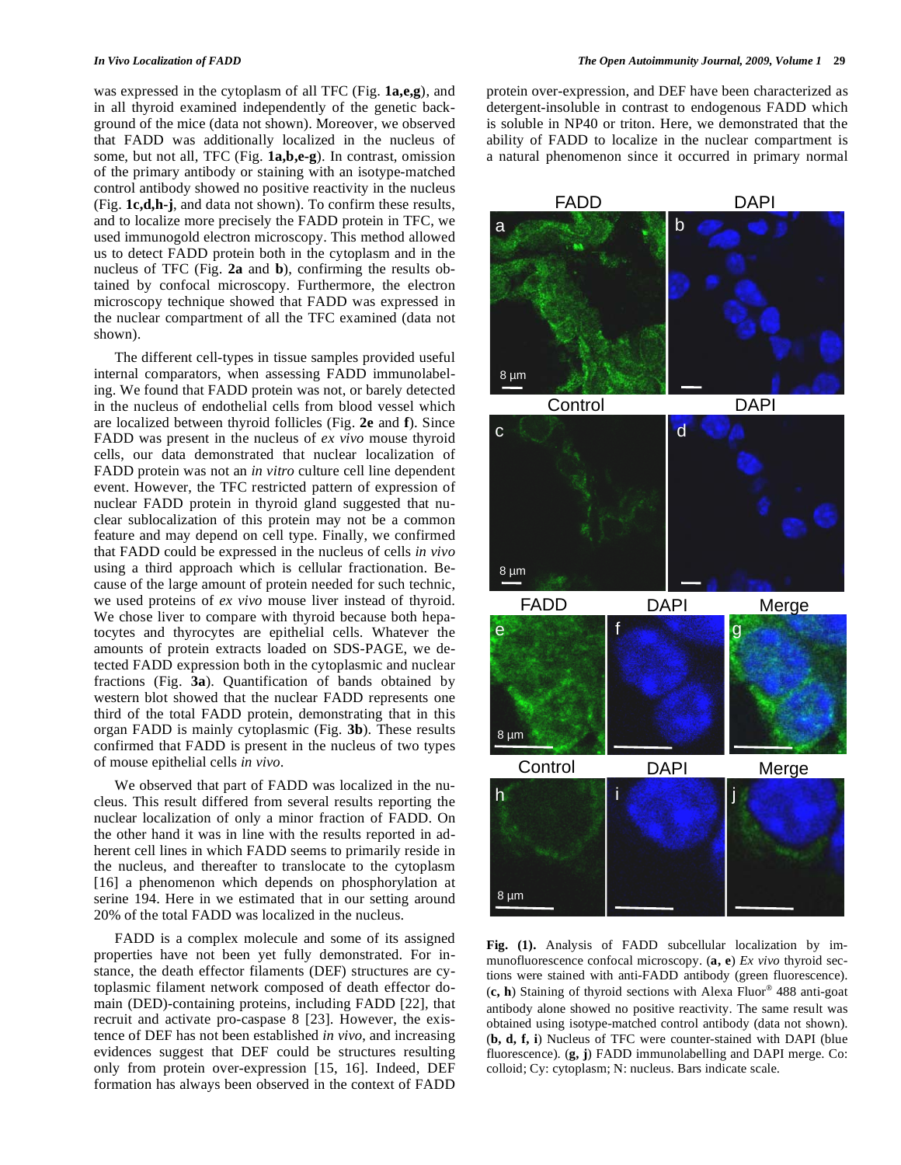was expressed in the cytoplasm of all TFC (Fig. **1a,e,g**), and in all thyroid examined independently of the genetic background of the mice (data not shown). Moreover, we observed that FADD was additionally localized in the nucleus of some, but not all, TFC (Fig. **1a,b,e-g**). In contrast, omission of the primary antibody or staining with an isotype-matched control antibody showed no positive reactivity in the nucleus (Fig. **1c,d,h-j**, and data not shown). To confirm these results, and to localize more precisely the FADD protein in TFC, we used immunogold electron microscopy. This method allowed us to detect FADD protein both in the cytoplasm and in the nucleus of TFC (Fig. **2a** and **b**), confirming the results obtained by confocal microscopy. Furthermore, the electron microscopy technique showed that FADD was expressed in the nuclear compartment of all the TFC examined (data not shown).

 The different cell-types in tissue samples provided useful internal comparators, when assessing FADD immunolabeling. We found that FADD protein was not, or barely detected in the nucleus of endothelial cells from blood vessel which are localized between thyroid follicles (Fig. **2e** and **f**). Since FADD was present in the nucleus of *ex vivo* mouse thyroid cells, our data demonstrated that nuclear localization of FADD protein was not an *in vitro* culture cell line dependent event. However, the TFC restricted pattern of expression of nuclear FADD protein in thyroid gland suggested that nuclear sublocalization of this protein may not be a common feature and may depend on cell type. Finally, we confirmed that FADD could be expressed in the nucleus of cells *in vivo* using a third approach which is cellular fractionation. Because of the large amount of protein needed for such technic, we used proteins of *ex vivo* mouse liver instead of thyroid. We chose liver to compare with thyroid because both hepatocytes and thyrocytes are epithelial cells. Whatever the amounts of protein extracts loaded on SDS-PAGE, we detected FADD expression both in the cytoplasmic and nuclear fractions (Fig. **3a**). Quantification of bands obtained by western blot showed that the nuclear FADD represents one third of the total FADD protein, demonstrating that in this organ FADD is mainly cytoplasmic (Fig. **3b**). These results confirmed that FADD is present in the nucleus of two types of mouse epithelial cells *in vivo*.

 We observed that part of FADD was localized in the nucleus. This result differed from several results reporting the nuclear localization of only a minor fraction of FADD. On the other hand it was in line with the results reported in adherent cell lines in which FADD seems to primarily reside in the nucleus, and thereafter to translocate to the cytoplasm [16] a phenomenon which depends on phosphorylation at serine 194. Here in we estimated that in our setting around 20% of the total FADD was localized in the nucleus.

 FADD is a complex molecule and some of its assigned properties have not been yet fully demonstrated. For instance, the death effector filaments (DEF) structures are cytoplasmic filament network composed of death effector domain (DED)-containing proteins, including FADD [22], that recruit and activate pro-caspase 8 [23]. However, the existence of DEF has not been established *in vivo*, and increasing evidences suggest that DEF could be structures resulting only from protein over-expression [15, 16]. Indeed, DEF formation has always been observed in the context of FADD protein over-expression, and DEF have been characterized as detergent-insoluble in contrast to endogenous FADD which is soluble in NP40 or triton. Here, we demonstrated that the ability of FADD to localize in the nuclear compartment is a natural phenomenon since it occurred in primary normal



**Fig. (1).** Analysis of FADD subcellular localization by immunofluorescence confocal microscopy. (**a, e**) *Ex vivo* thyroid sections were stained with anti-FADD antibody (green fluorescence). (c, h) Staining of thyroid sections with Alexa Fluor<sup>®</sup> 488 anti-goat antibody alone showed no positive reactivity. The same result was obtained using isotype-matched control antibody (data not shown). (**b, d, f, i**) Nucleus of TFC were counter-stained with DAPI (blue fluorescence). (**g, j**) FADD immunolabelling and DAPI merge. Co: colloid; Cy: cytoplasm; N: nucleus. Bars indicate scale.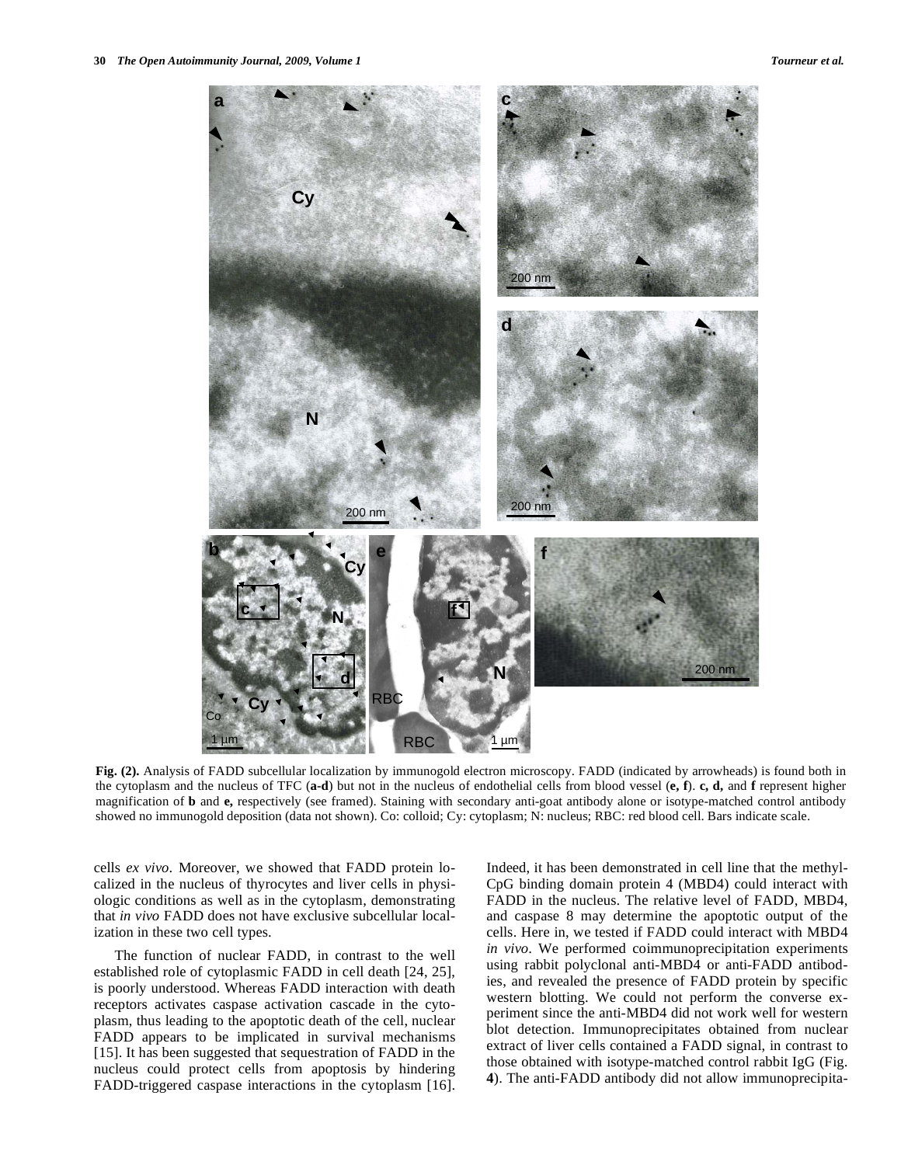

**Fig. (2).** Analysis of FADD subcellular localization by immunogold electron microscopy. FADD (indicated by arrowheads) is found both in the cytoplasm and the nucleus of TFC (**a-d**) but not in the nucleus of endothelial cells from blood vessel (**e, f**). **c, d,** and **f** represent higher magnification of **b** and **e,** respectively (see framed). Staining with secondary anti-goat antibody alone or isotype-matched control antibody showed no immunogold deposition (data not shown). Co: colloid; Cy: cytoplasm; N: nucleus; RBC: red blood cell. Bars indicate scale.

cells *ex vivo*. Moreover, we showed that FADD protein localized in the nucleus of thyrocytes and liver cells in physiologic conditions as well as in the cytoplasm, demonstrating that *in vivo* FADD does not have exclusive subcellular localization in these two cell types.

 The function of nuclear FADD, in contrast to the well established role of cytoplasmic FADD in cell death [24, 25], is poorly understood. Whereas FADD interaction with death receptors activates caspase activation cascade in the cytoplasm, thus leading to the apoptotic death of the cell, nuclear FADD appears to be implicated in survival mechanisms [15]. It has been suggested that sequestration of FADD in the nucleus could protect cells from apoptosis by hindering FADD-triggered caspase interactions in the cytoplasm [16]. Indeed, it has been demonstrated in cell line that the methyl-CpG binding domain protein 4 (MBD4) could interact with FADD in the nucleus. The relative level of FADD, MBD4, and caspase 8 may determine the apoptotic output of the cells. Here in, we tested if FADD could interact with MBD4 *in vivo*. We performed coimmunoprecipitation experiments using rabbit polyclonal anti-MBD4 or anti-FADD antibodies, and revealed the presence of FADD protein by specific western blotting. We could not perform the converse experiment since the anti-MBD4 did not work well for western blot detection. Immunoprecipitates obtained from nuclear extract of liver cells contained a FADD signal, in contrast to those obtained with isotype-matched control rabbit IgG (Fig. **4**). The anti-FADD antibody did not allow immunoprecipita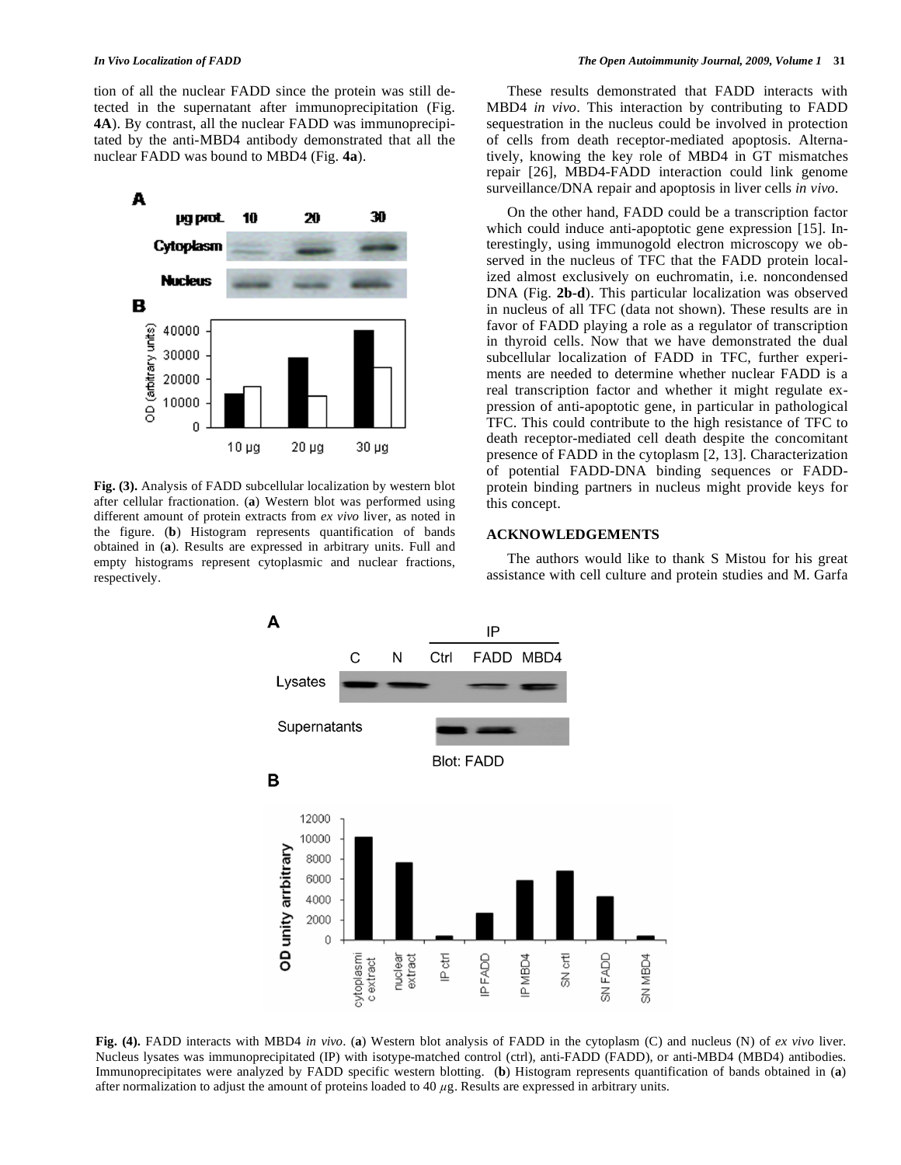tion of all the nuclear FADD since the protein was still detected in the supernatant after immunoprecipitation (Fig. **4A**). By contrast, all the nuclear FADD was immunoprecipitated by the anti-MBD4 antibody demonstrated that all the nuclear FADD was bound to MBD4 (Fig. **4a**).



**Fig. (3).** Analysis of FADD subcellular localization by western blot after cellular fractionation. (**a**) Western blot was performed using different amount of protein extracts from *ex vivo* liver, as noted in the figure. (**b**) Histogram represents quantification of bands obtained in (**a**). Results are expressed in arbitrary units. Full and empty histograms represent cytoplasmic and nuclear fractions, respectively.

 These results demonstrated that FADD interacts with MBD4 *in vivo*. This interaction by contributing to FADD sequestration in the nucleus could be involved in protection of cells from death receptor-mediated apoptosis. Alternatively, knowing the key role of MBD4 in GT mismatches repair [26], MBD4-FADD interaction could link genome surveillance/DNA repair and apoptosis in liver cells *in vivo*.

 On the other hand, FADD could be a transcription factor which could induce anti-apoptotic gene expression [15]. Interestingly, using immunogold electron microscopy we observed in the nucleus of TFC that the FADD protein localized almost exclusively on euchromatin, i.e. noncondensed DNA (Fig. **2b-d**). This particular localization was observed in nucleus of all TFC (data not shown). These results are in favor of FADD playing a role as a regulator of transcription in thyroid cells. Now that we have demonstrated the dual subcellular localization of FADD in TFC, further experiments are needed to determine whether nuclear FADD is a real transcription factor and whether it might regulate expression of anti-apoptotic gene, in particular in pathological TFC. This could contribute to the high resistance of TFC to death receptor-mediated cell death despite the concomitant presence of FADD in the cytoplasm [2, 13]. Characterization of potential FADD-DNA binding sequences or FADDprotein binding partners in nucleus might provide keys for this concept.

### **ACKNOWLEDGEMENTS**

 The authors would like to thank S Mistou for his great assistance with cell culture and protein studies and M. Garfa



**Fig. (4).** FADD interacts with MBD4 *in vivo*. (**a**) Western blot analysis of FADD in the cytoplasm (C) and nucleus (N) of *ex vivo* liver. Nucleus lysates was immunoprecipitated (IP) with isotype-matched control (ctrl), anti-FADD (FADD), or anti-MBD4 (MBD4) antibodies. Immunoprecipitates were analyzed by FADD specific western blotting. (**b**) Histogram represents quantification of bands obtained in (**a**) after normalization to adjust the amount of proteins loaded to 40  $\mu$ g. Results are expressed in arbitrary units.